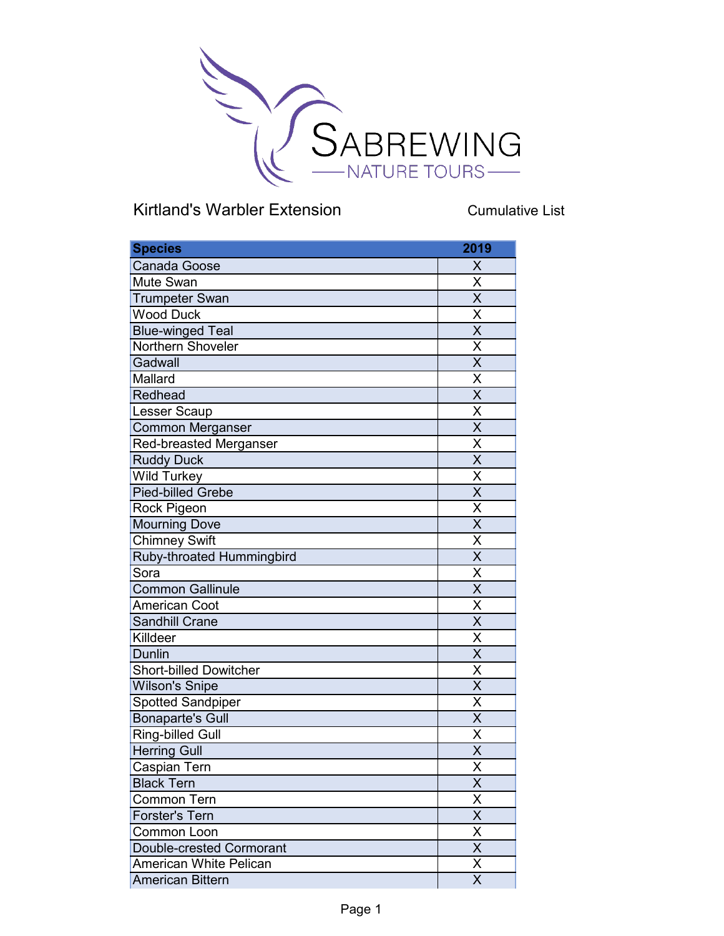

Cumulative List

| <b>Species</b>                | 2019                    |
|-------------------------------|-------------------------|
| Canada Goose                  | X                       |
| <b>Mute Swan</b>              | X                       |
| <b>Trumpeter Swan</b>         | $\overline{\mathsf{x}}$ |
| <b>Wood Duck</b>              | $\overline{\mathsf{x}}$ |
| <b>Blue-winged Teal</b>       | $\overline{\mathsf{x}}$ |
| Northern Shoveler             | X                       |
| Gadwall                       | $\overline{\mathsf{x}}$ |
| Mallard                       | Χ                       |
| Redhead                       | $\overline{\mathsf{x}}$ |
| Lesser Scaup                  | $\overline{\mathsf{x}}$ |
| <b>Common Merganser</b>       | $\overline{\mathsf{x}}$ |
| <b>Red-breasted Merganser</b> | X                       |
| <b>Ruddy Duck</b>             | $\overline{\mathsf{x}}$ |
| Wild Turkey                   | X                       |
| Pied-billed Grebe             | $\overline{\mathsf{x}}$ |
| <b>Rock Pigeon</b>            | X                       |
| <b>Mourning Dove</b>          | $\overline{\mathsf{x}}$ |
| <b>Chimney Swift</b>          | $\overline{\mathsf{x}}$ |
| Ruby-throated Hummingbird     | $\overline{\mathsf{x}}$ |
| Sora                          | X                       |
| <b>Common Gallinule</b>       | $\overline{\mathsf{x}}$ |
| <b>American Coot</b>          | X                       |
| <b>Sandhill Crane</b>         | $\overline{\mathsf{X}}$ |
| Killdeer                      | $\overline{\mathsf{x}}$ |
| <b>Dunlin</b>                 | $\overline{\mathsf{x}}$ |
| <b>Short-billed Dowitcher</b> | X                       |
| <b>Wilson's Snipe</b>         | $\overline{\mathsf{x}}$ |
| <b>Spotted Sandpiper</b>      | $\overline{\mathsf{x}}$ |
| <b>Bonaparte's Gull</b>       | $\overline{\mathsf{x}}$ |
| <b>Ring-billed Gull</b>       | X                       |
| <b>Herring Gull</b>           | $\overline{\mathsf{x}}$ |
| Caspian Tern                  | $\overline{\mathsf{X}}$ |
| <b>Black Tern</b>             | $\overline{\mathsf{x}}$ |
| <b>Common Tern</b>            | X                       |
| <b>Forster's Tern</b>         | $\overline{\mathsf{x}}$ |
| <b>Common Loon</b>            | X                       |
| Double-crested Cormorant      | $\overline{\mathsf{x}}$ |
| <b>American White Pelican</b> | X                       |
| <b>American Bittern</b>       | $\overline{\mathsf{x}}$ |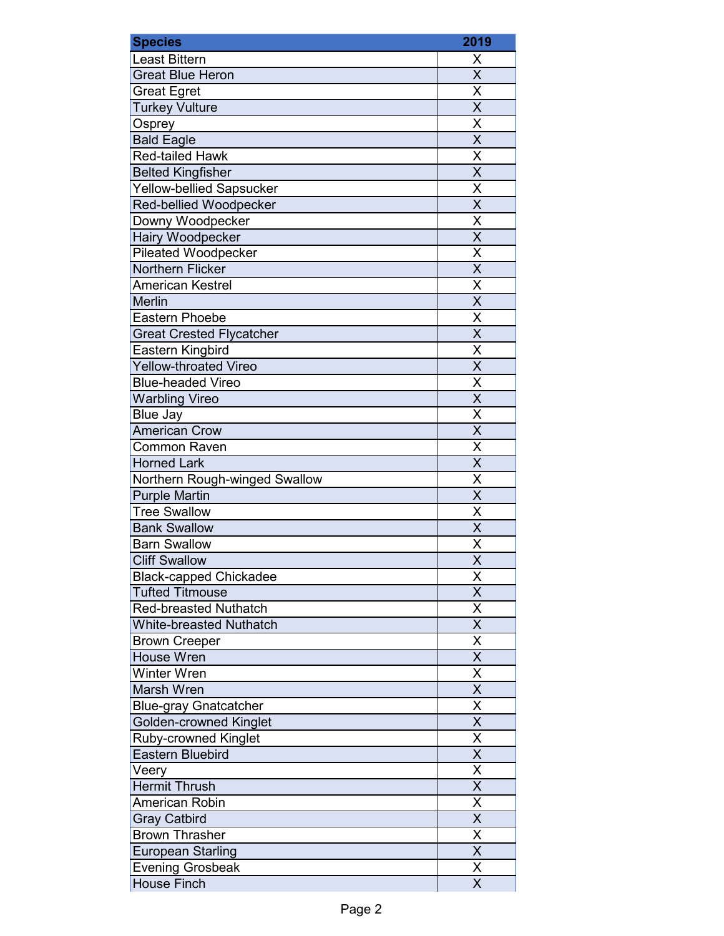| <b>Species</b>                          | 2019                                |
|-----------------------------------------|-------------------------------------|
| <b>Least Bittern</b>                    | Χ                                   |
| <b>Great Blue Heron</b>                 | $\overline{\mathsf{x}}$             |
| <b>Great Egret</b>                      | X                                   |
| <b>Turkey Vulture</b>                   | $\overline{\mathsf{x}}$             |
| Osprey                                  | $\overline{\mathsf{x}}$             |
| <b>Bald Eagle</b>                       | $\overline{\mathsf{x}}$             |
| <b>Red-tailed Hawk</b>                  | $\overline{\mathsf{x}}$             |
| <b>Belted Kingfisher</b>                | $\overline{\mathsf{x}}$             |
| <b>Yellow-bellied Sapsucker</b>         | X                                   |
| Red-bellied Woodpecker                  | $\overline{\mathsf{x}}$             |
| Downy Woodpecker                        | $\overline{\mathsf{x}}$             |
| Hairy Woodpecker                        | $\overline{\mathsf{x}}$             |
| <b>Pileated Woodpecker</b>              | X                                   |
| Northern Flicker                        | $\overline{\mathsf{X}}$             |
| <b>American Kestrel</b>                 | $\overline{\sf x}$                  |
| <b>Merlin</b>                           | $\overline{\mathsf{X}}$             |
| <b>Eastern Phoebe</b>                   | $\overline{\mathsf{X}}$             |
| <b>Great Crested Flycatcher</b>         | $\overline{\mathsf{x}}$             |
| Eastern Kingbird                        | $\overline{\mathsf{x}}$             |
| <b>Yellow-throated Vireo</b>            | $\overline{\mathsf{x}}$             |
| <b>Blue-headed Vireo</b>                | $\overline{\mathsf{x}}$             |
| <b>Warbling Vireo</b>                   | $\overline{\mathsf{x}}$             |
|                                         |                                     |
| <b>Blue Jay</b><br><b>American Crow</b> | $\frac{\overline{X}}{\overline{X}}$ |
| <b>Common Raven</b>                     | $\overline{\mathsf{x}}$             |
| <b>Horned Lark</b>                      | $\overline{\mathsf{x}}$             |
| Northern Rough-winged Swallow           | X                                   |
| <b>Purple Martin</b>                    | $\overline{\mathsf{x}}$             |
| <b>Tree Swallow</b>                     | $\overline{\mathsf{x}}$             |
| <b>Bank Swallow</b>                     | $\overline{\mathsf{x}}$             |
| <b>Barn Swallow</b>                     | $\overline{\sf x}$                  |
| <b>Cliff Swallow</b>                    | X                                   |
| <b>Black-capped Chickadee</b>           | Χ                                   |
| <b>Tufted Titmouse</b>                  | $\overline{\mathsf{X}}$             |
| <b>Red-breasted Nuthatch</b>            | X                                   |
| <b>White-breasted Nuthatch</b>          | $\overline{\mathsf{x}}$             |
| <b>Brown Creeper</b>                    | $\overline{\sf x}$                  |
| <b>House Wren</b>                       | X                                   |
| Winter Wren                             | $\overline{\mathsf{x}}$             |
| Marsh Wren                              | $\overline{\mathsf{x}}$             |
| <b>Blue-gray Gnatcatcher</b>            | $\overline{X}$                      |
| <b>Golden-crowned Kinglet</b>           | $\overline{\mathsf{x}}$             |
| Ruby-crowned Kinglet                    | $\overline{\mathsf{x}}$             |
| <b>Eastern Bluebird</b>                 | $\overline{\mathsf{x}}$             |
| Veery                                   | $\overline{\mathsf{X}}$             |
| <b>Hermit Thrush</b>                    | $\overline{\mathsf{x}}$             |
| <b>American Robin</b>                   | $\overline{\mathsf{x}}$             |
| <b>Gray Catbird</b>                     | $\overline{X}$                      |
| <b>Brown Thrasher</b>                   | $\overline{\mathsf{x}}$             |
| <b>European Starling</b>                | $\overline{\mathsf{x}}$             |
| <b>Evening Grosbeak</b>                 | $\overline{\sf x}$                  |
| <b>House Finch</b>                      | X                                   |